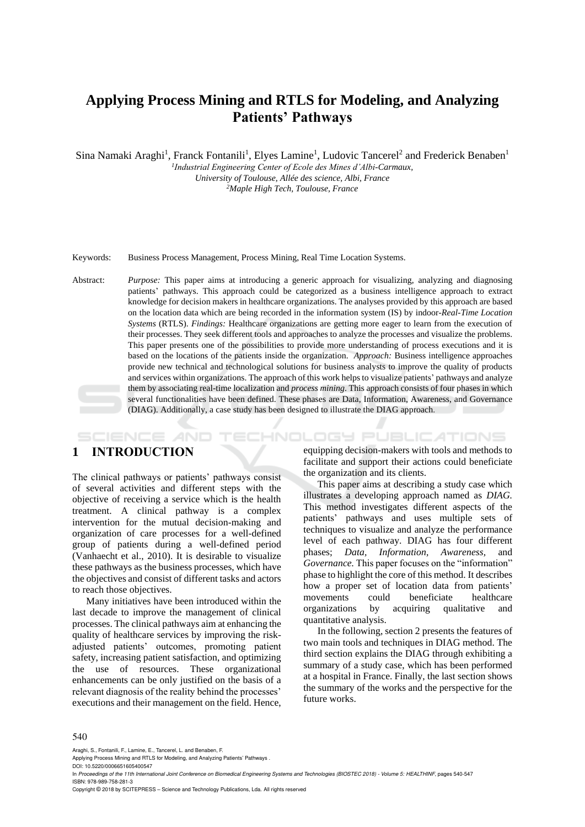# **Applying Process Mining and RTLS for Modeling, and Analyzing Patients' Pathways**

Sina Namaki Araghi<sup>1</sup>, Franck Fontanili<sup>1</sup>, Elyes Lamine<sup>1</sup>, Ludovic Tancerel<sup>2</sup> and Frederick Benaben<sup>1</sup>

*1 Industrial Engineering Center of Ecole des Mines d'Albi-Carmaux, University of Toulouse, Allée des science, Albi, France*

*<sup>2</sup>Maple High Tech, Toulouse, France*

Keywords: Business Process Management, Process Mining, Real Time Location Systems.

Abstract: *Purpose:* This paper aims at introducing a generic approach for visualizing, analyzing and diagnosing patients' pathways. This approach could be categorized as a business intelligence approach to extract knowledge for decision makers in healthcare organizations. The analyses provided by this approach are based on the location data which are being recorded in the information system (IS) by indoor-*Real-Time Location Systems* (RTLS). *Findings:* Healthcare organizations are getting more eager to learn from the execution of their processes. They seek different tools and approaches to analyze the processes and visualize the problems. This paper presents one of the possibilities to provide more understanding of process executions and it is based on the locations of the patients inside the organization. *Approach:* Business intelligence approaches provide new technical and technological solutions for business analysts to improve the quality of products and services within organizations. The approach of this work helps to visualize patients' pathways and analyze them by associating real-time localization and *process mining*. This approach consists of four phases in which several functionalities have been defined. These phases are Data, Information, Awareness, and Governance (DIAG). Additionally, a case study has been designed to illustrate the DIAG approach.

### **1 INTRODUCTION**

**SCIENCE AND** 

The clinical pathways or patients' pathways consist of several activities and different steps with the objective of receiving a service which is the health treatment. A clinical pathway is a complex intervention for the mutual decision-making and organization of care processes for a well-defined group of patients during a well-defined period (Vanhaecht et al., 2010). It is desirable to visualize these pathways as the business processes, which have the objectives and consist of different tasks and actors to reach those objectives.

Many initiatives have been introduced within the last decade to improve the management of clinical processes. The clinical pathways aim at enhancing the quality of healthcare services by improving the riskadjusted patients' outcomes, promoting patient safety, increasing patient satisfaction, and optimizing the use of resources. These organizational enhancements can be only justified on the basis of a relevant diagnosis of the reality behind the processes' executions and their management on the field. Hence,

equipping decision-makers with tools and methods to facilitate and support their actions could beneficiate the organization and its clients.

TECHNOLOGY PUBLICATIONS

This paper aims at describing a study case which illustrates a developing approach named as *DIAG.* This method investigates different aspects of the patients' pathways and uses multiple sets of techniques to visualize and analyze the performance level of each pathway. DIAG has four different phases; *Data, Information, Awareness*, and phases; *Data, Information, Awareness,* and *Governance.* This paper focuses on the "information" phase to highlight the core of this method. It describes how a proper set of location data from patients' movements could beneficiate healthcare organizations by acquiring qualitative and quantitative analysis.

In the following, section 2 presents the features of two main tools and techniques in DIAG method. The third section explains the DIAG through exhibiting a summary of a study case, which has been performed at a hospital in France. Finally, the last section shows the summary of the works and the perspective for the future works.

#### 540

Araghi, S., Fontanili, F., Lamine, E., Tancerel, L. and Benaben, F.

Applying Process Mining and RTLS for Modeling, and Analyzing Patients' Pathways .

DOI: 10.5220/0006651605400547

In *Proceedings of the 11th International Joint Conference on Biomedical Engineering Systems and Technologies (BIOSTEC 2018) - Volume 5: HEALTHINF*, pages 540-547 ISBN: 978-989-758-281-3

Copyright © 2018 by SCITEPRESS – Science and Technology Publications, Lda. All rights reserved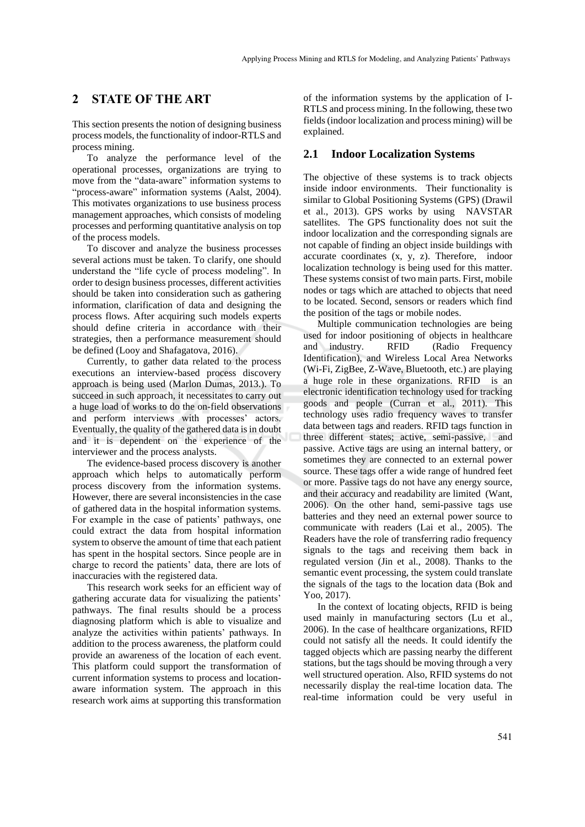### **2 STATE OF THE ART**

This section presents the notion of designing business process models, the functionality of indoor-RTLS and process mining.

To analyze the performance level of the operational processes, organizations are trying to move from the "data-aware" information systems to "process-aware" information systems (Aalst, 2004). This motivates organizations to use business process management approaches, which consists of modeling processes and performing quantitative analysis on top of the process models.

To discover and analyze the business processes several actions must be taken. To clarify, one should understand the "life cycle of process modeling". In order to design business processes, different activities should be taken into consideration such as gathering information, clarification of data and designing the process flows. After acquiring such models experts should define criteria in accordance with their strategies, then a performance measurement should be defined (Looy and Shafagatova, 2016).

Currently, to gather data related to the process executions an interview-based process discovery approach is being used (Marlon Dumas, 2013.). To succeed in such approach, it necessitates to carry out a huge load of works to do the on-field observations and perform interviews with processes' actors. Eventually, the quality of the gathered data is in doubt and it is dependent on the experience of the interviewer and the process analysts.

The evidence-based process discovery is another approach which helps to automatically perform process discovery from the information systems. However, there are several inconsistencies in the case of gathered data in the hospital information systems. For example in the case of patients' pathways, one could extract the data from hospital information system to observe the amount of time that each patient has spent in the hospital sectors. Since people are in charge to record the patients' data, there are lots of inaccuracies with the registered data.

This research work seeks for an efficient way of gathering accurate data for visualizing the patients' pathways. The final results should be a process diagnosing platform which is able to visualize and analyze the activities within patients' pathways. In addition to the process awareness, the platform could provide an awareness of the location of each event. This platform could support the transformation of current information systems to process and locationaware information system. The approach in this research work aims at supporting this transformation

of the information systems by the application of I-RTLS and process mining. In the following, these two fields(indoor localization and process mining) will be explained.

#### **2.1 Indoor Localization Systems**

The objective of these systems is to track objects inside indoor environments. Their functionality is similar to Global Positioning Systems (GPS) (Drawil et al., 2013). GPS works by using NAVSTAR satellites. The GPS functionality does not suit the indoor localization and the corresponding signals are not capable of finding an object inside buildings with accurate coordinates (x, y, z). Therefore, indoor localization technology is being used for this matter. These systems consist of two main parts. First, mobile nodes or tags which are attached to objects that need to be located. Second, sensors or readers which find the position of the tags or mobile nodes.

Multiple communication technologies are being used for indoor positioning of objects in healthcare and industry. RFID (Radio Frequency Identification), and Wireless Local Area Networks (Wi-Fi, ZigBee, Z-Wave, Bluetooth, etc.) are playing a huge role in these organizations. RFID is an electronic identification technology used for tracking goods and people (Curran et al., 2011). This technology uses radio frequency waves to transfer data between tags and readers. RFID tags function in three different states; active, semi-passive, and passive. Active tags are using an internal battery, or sometimes they are connected to an external power source. These tags offer a wide range of hundred feet or more. Passive tags do not have any energy source, and their accuracy and readability are limited (Want, 2006). On the other hand, semi-passive tags use batteries and they need an external power source to communicate with readers (Lai et al., 2005). The Readers have the role of transferring radio frequency signals to the tags and receiving them back in regulated version (Jin et al., 2008). Thanks to the semantic event processing, the system could translate the signals of the tags to the location data (Bok and Yoo, 2017).

In the context of locating objects, RFID is being used mainly in manufacturing sectors (Lu et al., 2006). In the case of healthcare organizations, RFID could not satisfy all the needs. It could identify the tagged objects which are passing nearby the different stations, but the tags should be moving through a very well structured operation. Also, RFID systems do not necessarily display the real-time location data. The real-time information could be very useful in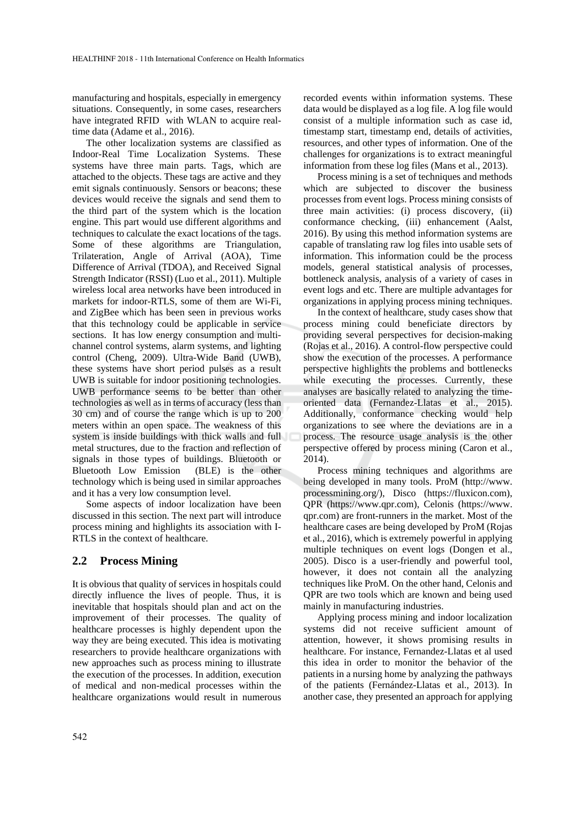manufacturing and hospitals, especially in emergency situations. Consequently, in some cases, researchers have integrated RFID with WLAN to acquire realtime data (Adame et al., 2016).

The other localization systems are classified as Indoor-Real Time Localization Systems. These systems have three main parts. Tags, which are attached to the objects. These tags are active and they emit signals continuously. Sensors or beacons; these devices would receive the signals and send them to the third part of the system which is the location engine. This part would use different algorithms and techniques to calculate the exact locations of the tags. Some of these algorithms are Triangulation, Trilateration, Angle of Arrival (AOA), Time Difference of Arrival (TDOA), and Received Signal Strength Indicator (RSSI) (Luo et al., 2011). Multiple wireless local area networks have been introduced in markets for indoor-RTLS, some of them are Wi-Fi, and ZigBee which has been seen in previous works that this technology could be applicable in service sections. It has low energy consumption and multichannel control systems, alarm systems, and lighting control (Cheng, 2009). Ultra-Wide Band (UWB), these systems have short period pulses as a result UWB is suitable for indoor positioning technologies. UWB performance seems to be better than other technologies as well as in terms of accuracy (less than 30 cm) and of course the range which is up to 200 meters within an open space. The weakness of this system is inside buildings with thick walls and full metal structures, due to the fraction and reflection of signals in those types of buildings. Bluetooth or Bluetooth Low Emission (BLE) is the other technology which is being used in similar approaches and it has a very low consumption level.

Some aspects of indoor localization have been discussed in this section. The next part will introduce process mining and highlights its association with I-RTLS in the context of healthcare.

### **2.2 Process Mining**

It is obvious that quality of services in hospitals could directly influence the lives of people. Thus, it is inevitable that hospitals should plan and act on the improvement of their processes. The quality of healthcare processes is highly dependent upon the way they are being executed. This idea is motivating researchers to provide healthcare organizations with new approaches such as process mining to illustrate the execution of the processes. In addition, execution of medical and non-medical processes within the healthcare organizations would result in numerous

recorded events within information systems. These data would be displayed as a log file. A log file would consist of a multiple information such as case id, timestamp start, timestamp end, details of activities, resources, and other types of information. One of the challenges for organizations is to extract meaningful information from these log files (Mans et al., 2013).

Process mining is a set of techniques and methods which are subjected to discover the business processes from event logs. Process mining consists of three main activities: (i) process discovery, (ii) conformance checking, (iii) enhancement (Aalst, 2016). By using this method information systems are capable of translating raw log files into usable sets of information. This information could be the process models, general statistical analysis of processes, bottleneck analysis, analysis of a variety of cases in event logs and etc. There are multiple advantages for organizations in applying process mining techniques.

In the context of healthcare, study cases show that process mining could beneficiate directors by providing several perspectives for decision-making (Rojas et al., 2016). A control-flow perspective could show the execution of the processes. A performance perspective highlights the problems and bottlenecks while executing the processes. Currently, these analyses are basically related to analyzing the timeoriented data (Fernandez-Llatas et al., 2015). Additionally, conformance checking would help organizations to see where the deviations are in a process. The resource usage analysis is the other perspective offered by process mining (Caron et al., 2014).

Process mining techniques and algorithms are being developed in many tools. ProM (http://www. processmining.org/), Disco (https://fluxicon.com), QPR (https://www.qpr.com), Celonis (https://www. qpr.com) are front-runners in the market. Most of the healthcare cases are being developed by ProM (Rojas et al., 2016), which is extremely powerful in applying multiple techniques on event logs (Dongen et al., 2005). Disco is a user-friendly and powerful tool, however, it does not contain all the analyzing techniques like ProM. On the other hand, Celonis and QPR are two tools which are known and being used mainly in manufacturing industries.

Applying process mining and indoor localization systems did not receive sufficient amount of attention, however, it shows promising results in healthcare. For instance, Fernandez-Llatas et al used this idea in order to monitor the behavior of the patients in a nursing home by analyzing the pathways of the patients (Fernández-Llatas et al., 2013). In another case, they presented an approach for applying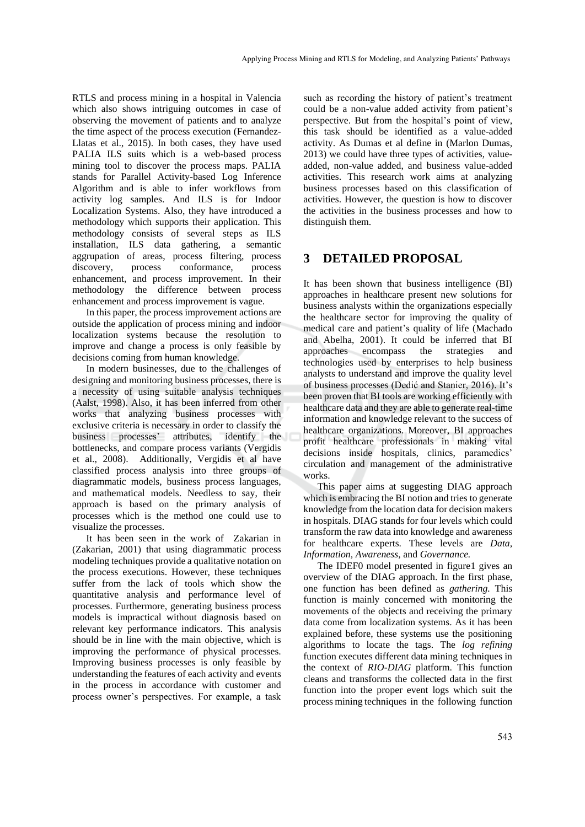RTLS and process mining in a hospital in Valencia which also shows intriguing outcomes in case of observing the movement of patients and to analyze the time aspect of the process execution (Fernandez-Llatas et al., 2015). In both cases, they have used PALIA ILS suits which is a web-based process mining tool to discover the process maps. PALIA stands for Parallel Activity-based Log Inference Algorithm and is able to infer workflows from activity log samples. And ILS is for Indoor Localization Systems. Also, they have introduced a methodology which supports their application. This methodology consists of several steps as ILS installation, ILS data gathering, a semantic aggrupation of areas, process filtering, process discovery, process conformance, process enhancement, and process improvement. In their methodology the difference between process enhancement and process improvement is vague.

In this paper, the process improvement actions are outside the application of process mining and indoor localization systems because the resolution to improve and change a process is only feasible by decisions coming from human knowledge.

In modern businesses, due to the challenges of designing and monitoring business processes, there is a necessity of using suitable analysis techniques (Aalst, 1998). Also, it has been inferred from other works that analyzing business processes with exclusive criteria is necessary in order to classify the business processes' attributes, identify the bottlenecks, and compare process variants (Vergidis et al., 2008). Additionally, Vergidis et al have classified process analysis into three groups of diagrammatic models, business process languages, and mathematical models. Needless to say, their approach is based on the primary analysis of processes which is the method one could use to visualize the processes.

It has been seen in the work of Zakarian in (Zakarian, 2001) that using diagrammatic process modeling techniques provide a qualitative notation on the process executions. However, these techniques suffer from the lack of tools which show the quantitative analysis and performance level of processes. Furthermore, generating business process models is impractical without diagnosis based on relevant key performance indicators. This analysis should be in line with the main objective, which is improving the performance of physical processes. Improving business processes is only feasible by understanding the features of each activity and events in the process in accordance with customer and process owner's perspectives. For example, a task

such as recording the history of patient's treatment could be a non-value added activity from patient's perspective. But from the hospital's point of view, this task should be identified as a value-added activity. As Dumas et al define in (Marlon Dumas*,*  2013) we could have three types of activities, valueadded, non-value added, and business value-added activities. This research work aims at analyzing business processes based on this classification of activities. However, the question is how to discover the activities in the business processes and how to distinguish them.

### **3 DETAILED PROPOSAL**

It has been shown that business intelligence (BI) approaches in healthcare present new solutions for business analysts within the organizations especially the healthcare sector for improving the quality of medical care and patient's quality of life (Machado and Abelha, 2001). It could be inferred that BI approaches encompass the strategies and technologies used by enterprises to help business analysts to understand and improve the quality level of business processes (Dedić and Stanier, 2016). It's been proven that BI tools are working efficiently with healthcare data and they are able to generate real-time information and knowledge relevant to the success of healthcare organizations. Moreover, BI approaches profit healthcare professionals in making vital decisions inside hospitals, clinics, paramedics' circulation and management of the administrative works.

This paper aims at suggesting DIAG approach which is embracing the BI notion and tries to generate knowledge from the location data for decision makers in hospitals. DIAG stands for four levels which could transform the raw data into knowledge and awareness for healthcare experts. These levels are *Data, Information, Awareness,* and *Governance.*

The IDEF0 model presented in figure1 gives an overview of the DIAG approach. In the first phase, one function has been defined as *gathering.* This function is mainly concerned with monitoring the movements of the objects and receiving the primary data come from localization systems. As it has been explained before, these systems use the positioning algorithms to locate the tags. The *log refining*  function executes different data mining techniques in the context of *RIO-DIAG* platform. This function cleans and transforms the collected data in the first function into the proper event logs which suit the process mining techniques in the following function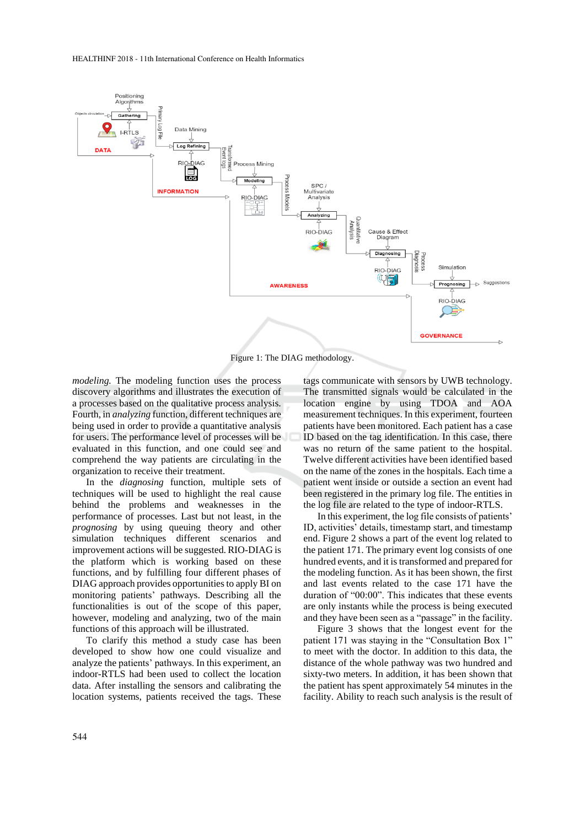

Figure 1: The DIAG methodology.

*modeling.* The modeling function uses the process discovery algorithms and illustrates the execution of a processes based on the qualitative process analysis. Fourth, in *analyzing* function, different techniques are being used in order to provide a quantitative analysis for users. The performance level of processes will be evaluated in this function, and one could see and comprehend the way patients are circulating in the organization to receive their treatment.

In the *diagnosing* function, multiple sets of techniques will be used to highlight the real cause behind the problems and weaknesses in the performance of processes. Last but not least, in the *prognosing* by using queuing theory and other simulation techniques different scenarios and improvement actions will be suggested. RIO-DIAG is the platform which is working based on these functions, and by fulfilling four different phases of DIAG approach provides opportunities to apply BI on monitoring patients' pathways. Describing all the functionalities is out of the scope of this paper, however, modeling and analyzing, two of the main functions of this approach will be illustrated.

To clarify this method a study case has been developed to show how one could visualize and analyze the patients' pathways. In this experiment, an indoor-RTLS had been used to collect the location data. After installing the sensors and calibrating the location systems, patients received the tags. These

tags communicate with sensors by UWB technology. The transmitted signals would be calculated in the location engine by using TDOA and AOA measurement techniques. In this experiment, fourteen patients have been monitored. Each patient has a case ID based on the tag identification. In this case, there was no return of the same patient to the hospital. Twelve different activities have been identified based on the name of the zones in the hospitals. Each time a patient went inside or outside a section an event had been registered in the primary log file. The entities in the log file are related to the type of indoor-RTLS.

In this experiment, the log file consists of patients' ID, activities' details, timestamp start, and timestamp end. Figure 2 shows a part of the event log related to the patient 171. The primary event log consists of one hundred events, and it is transformed and prepared for the modeling function. As it has been shown, the first and last events related to the case 171 have the duration of "00:00". This indicates that these events are only instants while the process is being executed and they have been seen as a "passage" in the facility.

Figure 3 shows that the longest event for the patient 171 was staying in the "Consultation Box 1" to meet with the doctor. In addition to this data, the distance of the whole pathway was two hundred and sixty-two meters. In addition, it has been shown that the patient has spent approximately 54 minutes in the facility. Ability to reach such analysis is the result of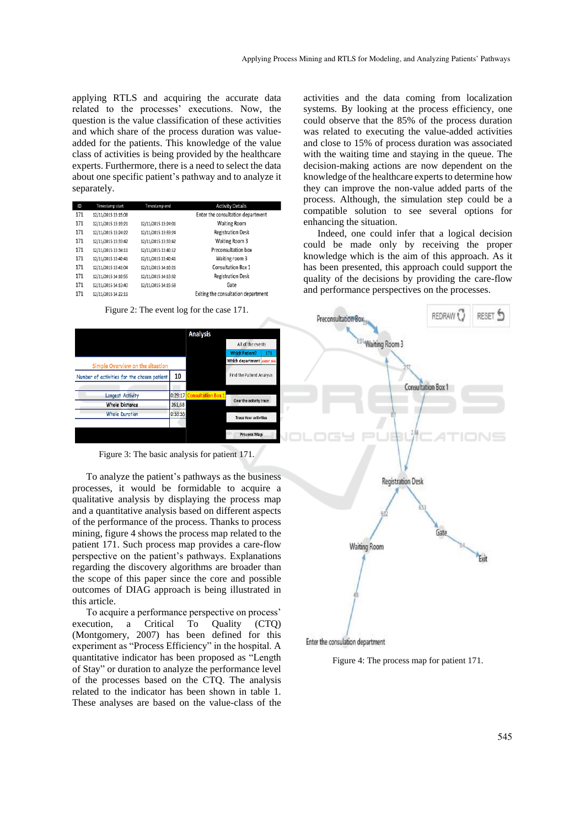applying RTLS and acquiring the accurate data related to the processes' executions. Now, the question is the value classification of these activities and which share of the process duration was valueadded for the patients. This knowledge of the value class of activities is being provided by the healthcare experts. Furthermore, there is a need to select the data about one specific patient's pathway and to analyze it separately.

| ID  | Timestamp start     | Timestamp end       | <b>Activity Details</b>             |
|-----|---------------------|---------------------|-------------------------------------|
| 171 | 12/11/2015 13:15:08 |                     | Enter the consultation department   |
| 171 | 12/11/2015 13:19:21 | 12/11/2015 13:24:01 | <b>Waiting Room</b>                 |
| 171 | 12/11/2015 13:24:22 | 12/11/2015 13:33:24 | <b>Registration Desk</b>            |
| 171 | 12/11/2015 13:33:42 | 12/11/2015 13:33:42 | Waiting Room 3                      |
| 171 | 12/11/2015 13:34:11 | 12/11/2015 13:40:12 | Preconsultation hox                 |
| 171 | 12/11/2015 13:40:41 | 12/11/2015 13:40:41 | Waiting room 3                      |
| 171 | 12/11/2015 13:41:04 | 12/11/2015 14:10:21 | <b>Consultation Box 1</b>           |
| 171 | 12/11/2015 14:10:55 | 12/11/2015 14:13:32 | <b>Registration Desk</b>            |
| 171 | 12/11/2015 14:13:40 | 12/11/2015 14:15:58 | Gate                                |
| 171 | 12/11/2015 14:22:11 |                     | Exiting the consultation department |

Figure 2: The event log for the case 171.



Figure 3: The basic analysis for patient 171.

To analyze the patient's pathways as the business processes, it would be formidable to acquire a qualitative analysis by displaying the process map and a quantitative analysis based on different aspects of the performance of the process. Thanks to process mining, figure 4 shows the process map related to the patient 171. Such process map provides a care-flow perspective on the patient's pathways. Explanations regarding the discovery algorithms are broader than the scope of this paper since the core and possible outcomes of DIAG approach is being illustrated in this article.

To acquire a performance perspective on process' execution, a Critical To Quality (CTQ) (Montgomery, 2007) has been defined for this experiment as "Process Efficiency" in the hospital. A quantitative indicator has been proposed as "Length of Stay" or duration to analyze the performance level of the processes based on the CTQ. The analysis related to the indicator has been shown in table 1. These analyses are based on the value-class of the

activities and the data coming from localization systems. By looking at the process efficiency, one could observe that the 85% of the process duration was related to executing the value-added activities and close to 15% of process duration was associated with the waiting time and staying in the queue. The decision-making actions are now dependent on the knowledge of the healthcare experts to determine how they can improve the non-value added parts of the process. Although, the simulation step could be a compatible solution to see several options for enhancing the situation.

Indeed, one could infer that a logical decision could be made only by receiving the proper knowledge which is the aim of this approach. As it has been presented, this approach could support the quality of the decisions by providing the care-flow and performance perspectives on the processes.



Figure 4: The process map for patient 171.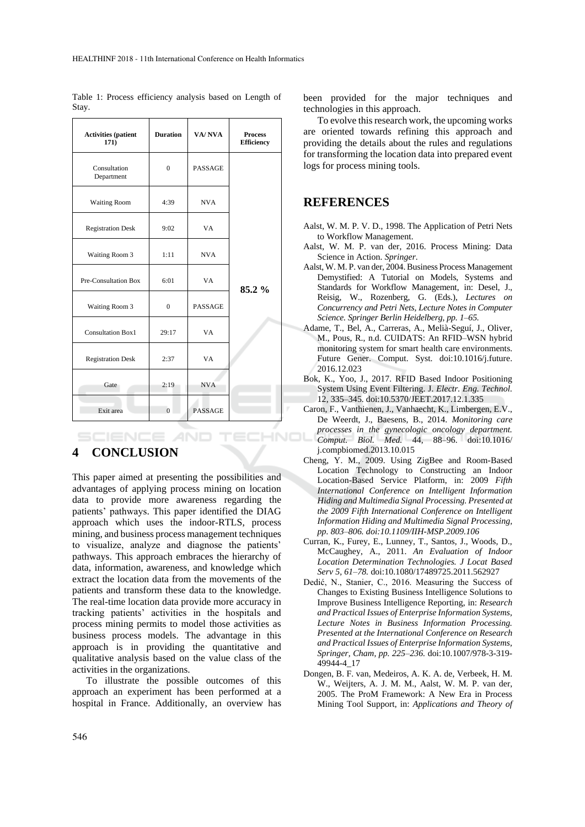| <b>Activities</b> (patient<br>171) | <b>Duration</b> | VA/NVA         | <b>Process</b><br><b>Efficiency</b> |
|------------------------------------|-----------------|----------------|-------------------------------------|
| Consultation<br>Department         | $\Omega$        | <b>PASSAGE</b> |                                     |
| <b>Waiting Room</b>                | 4:39            | <b>NVA</b>     |                                     |
| <b>Registration Desk</b>           | 9:02            | VA             |                                     |
| Waiting Room 3                     | 1:11            | <b>NVA</b>     |                                     |
| Pre-Consultation Box               | 6:01            | VA.            | $85.2\%$                            |
| Waiting Room 3                     | $\mathbf{0}$    | <b>PASSAGE</b> |                                     |
| <b>Consultation Box1</b>           | 29:17           | VA             |                                     |
| <b>Registration Desk</b>           | 2:37            | VA             |                                     |
| Gate                               | 2:19            | <b>NVA</b>     |                                     |
| Exit area                          | $\Omega$        | <b>PASSAGE</b> |                                     |

Table 1: Process efficiency analysis based on Length of Stay.

## **4 CONCLUSION**

**SCIENCE AND** 

This paper aimed at presenting the possibilities and advantages of applying process mining on location data to provide more awareness regarding the patients' pathways. This paper identified the DIAG approach which uses the indoor-RTLS, process mining, and business process management techniques to visualize, analyze and diagnose the patients' pathways. This approach embraces the hierarchy of data, information, awareness, and knowledge which extract the location data from the movements of the patients and transform these data to the knowledge. The real-time location data provide more accuracy in tracking patients' activities in the hospitals and process mining permits to model those activities as business process models. The advantage in this approach is in providing the quantitative and qualitative analysis based on the value class of the activities in the organizations.

To illustrate the possible outcomes of this approach an experiment has been performed at a hospital in France. Additionally, an overview has been provided for the major techniques and technologies in this approach.

To evolve this research work, the upcoming works are oriented towards refining this approach and providing the details about the rules and regulations for transforming the location data into prepared event logs for process mining tools.

### **REFERENCES**

- Aalst, W. M. P. V. D., 1998. The Application of Petri Nets to Workflow Management.
- Aalst, W. M. P. van der, 2016. Process Mining: Data Science in Action. *Springer*.
- Aalst, W. M. P. van der, 2004. Business Process Management Demystified: A Tutorial on Models, Systems and Standards for Workflow Management, in: Desel, J., Reisig, W., Rozenberg, G. (Eds.), *Lectures on Concurrency and Petri Nets, Lecture Notes in Computer Science. Springer Berlin Heidelberg, pp. 1–65.*
- Adame, T., Bel, A., Carreras, A., Melià-Seguí, J., Oliver, M., Pous, R., n.d. CUIDATS: An RFID–WSN hybrid monitoring system for smart health care environments. Future Gener. Comput. Syst. doi:10.1016/j.future. 2016.12.023
- Bok, K., Yoo, J., 2017. RFID Based Indoor Positioning System Using Event Filtering. J. *Electr. Eng. Technol.*  12, 335–345. doi:10.5370/JEET.2017.12.1.335
- Caron, F., Vanthienen, J., Vanhaecht, K., Limbergen, E.V., De Weerdt, J., Baesens, B., 2014. *Monitoring care processes in the gynecologic oncology department.*  HNOL *Comput. Biol. Med.* 44, 88–96. doi:10.1016/ j.compbiomed.2013.10.015
	- Cheng, Y. M., 2009. Using ZigBee and Room-Based Location Technology to Constructing an Indoor Location-Based Service Platform, in: 2009 *Fifth International Conference on Intelligent Information Hiding and Multimedia Signal Processing. Presented at the 2009 Fifth International Conference on Intelligent Information Hiding and Multimedia Signal Processing, pp. 803–806. doi:10.1109/IIH-MSP.2009.106*
	- Curran, K., Furey, E., Lunney, T., Santos, J., Woods, D., McCaughey, A., 2011. *An Evaluation of Indoor Location Determination Technologies. J Locat Based Serv 5, 61–78.* doi:10.1080/17489725.2011.562927
	- Dedić, N., Stanier, C., 2016. Measuring the Success of Changes to Existing Business Intelligence Solutions to Improve Business Intelligence Reporting, in: *Research and Practical Issues of Enterprise Information Systems, Lecture Notes in Business Information Processing. Presented at the International Conference on Research and Practical Issues of Enterprise Information Systems, Springer, Cham, pp. 225–236.* doi:10.1007/978-3-319- 49944-4\_17
	- Dongen, B. F. van, Medeiros, A. K. A. de, Verbeek, H. M. W., Weijters, A. J. M. M., Aalst, W. M. P. van der, 2005. The ProM Framework: A New Era in Process Mining Tool Support, in: *Applications and Theory of*